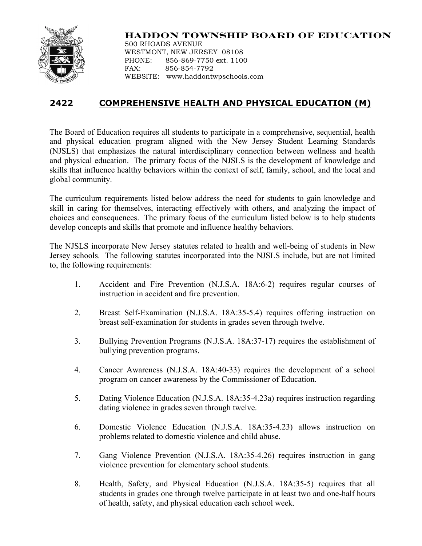

## **HADDON TOWNSHIP BOARD OF EDUCATION**

500 RHOADS AVENUE WESTMONT, NEW JERSEY 08108 PHONE: 856-869-7750 ext. 1100 FAX: 856-854-7792 WEBSITE: www.haddontwpschools.com

## **2422 COMPREHENSIVE HEALTH AND PHYSICAL EDUCATION (M)**

The Board of Education requires all students to participate in a comprehensive, sequential, health and physical education program aligned with the New Jersey Student Learning Standards (NJSLS) that emphasizes the natural interdisciplinary connection between wellness and health and physical education. The primary focus of the NJSLS is the development of knowledge and skills that influence healthy behaviors within the context of self, family, school, and the local and global community.

The curriculum requirements listed below address the need for students to gain knowledge and skill in caring for themselves, interacting effectively with others, and analyzing the impact of choices and consequences. The primary focus of the curriculum listed below is to help students develop concepts and skills that promote and influence healthy behaviors.

The NJSLS incorporate New Jersey statutes related to health and well-being of students in New Jersey schools. The following statutes incorporated into the NJSLS include, but are not limited to, the following requirements:

- 1. Accident and Fire Prevention (N.J.S.A. 18A:6-2) requires regular courses of instruction in accident and fire prevention.
- 2. Breast Self-Examination (N.J.S.A. 18A:35-5.4) requires offering instruction on breast self-examination for students in grades seven through twelve.
- 3. Bullying Prevention Programs (N.J.S.A. 18A:37-17) requires the establishment of bullying prevention programs.
- 4. Cancer Awareness (N.J.S.A. 18A:40-33) requires the development of a school program on cancer awareness by the Commissioner of Education.
- 5. Dating Violence Education (N.J.S.A. 18A:35-4.23a) requires instruction regarding dating violence in grades seven through twelve.
- 6. Domestic Violence Education (N.J.S.A. 18A:35-4.23) allows instruction on problems related to domestic violence and child abuse.
- 7. Gang Violence Prevention (N.J.S.A. 18A:35-4.26) requires instruction in gang violence prevention for elementary school students.
- 8. Health, Safety, and Physical Education (N.J.S.A. 18A:35-5) requires that all students in grades one through twelve participate in at least two and one-half hours of health, safety, and physical education each school week.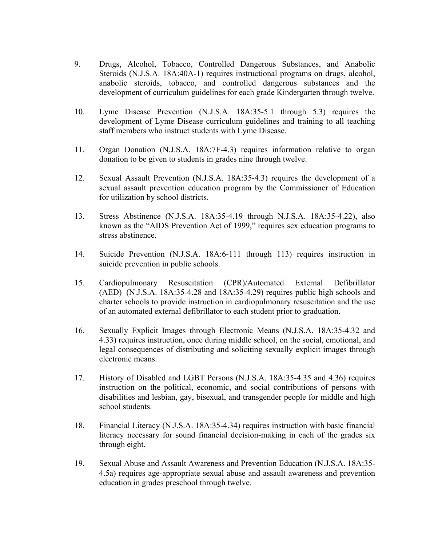- 9. Drugs, Alcohol, Tobacco, Controlled Dangerous Substances, and Anabolic Steroids (N.J.S.A. 18A:40A-1) requires instructional programs on drugs, alcohol, anabolic steroids, tobacco, and controlled dangerous substances and the development of curriculum guidelines for each grade Kindergarten through twelve.
- 10. Lyme Disease Prevention (N.J.S.A. 18A:35-5.1 through 5.3) requires the development of Lyme Disease curriculum guidelines and training to all teaching staff members who instruct students with Lyme Disease.
- 11. Organ Donation (N.J.S.A. 18A:7F-4.3) requires information relative to organ donation to be given to students in grades nine through twelve.
- 12. Sexual Assault Prevention (N.J.S.A. 18A:35-4.3) requires the development of a sexual assault prevention education program by the Commissioner of Education for utilization by school districts.
- 13. Stress Abstinence (N.J.S.A. 18A:35-4.19 through N.J.S.A. 18A:35-4.22), also known as the "AIDS Prevention Act of 1999," requires sex education programs to stress abstinence.
- 14. Suicide Prevention (N.J.S.A. 18A:6-111 through 113) requires instruction in suicide prevention in public schools.
- 15. Cardiopulmonary Resuscitation (CPR)/Automated External Defibrillator (AED) (N.J.S.A. 18A:35-4.28 and 18A:35-4.29) requires public high schools and charter schools to provide instruction in cardiopulmonary resuscitation and the use of an automated external defibrillator to each student prior to graduation.
- 16. Sexually Explicit Images through Electronic Means (N.J.S.A. 18A:35-4.32 and 4.33) requires instruction, once during middle school, on the social, emotional, and legal consequences of distributing and soliciting sexually explicit images through electronic means.
- 17. History of Disabled and LGBT Persons (N.J.S.A. 18A:35-4.35 and 4.36) requires instruction on the political, economic, and social contributions of persons with disabilities and lesbian, gay, bisexual, and transgender people for middle and high school students.
- 18. Financial Literacy (N.J.S.A. 18A:35-4.34) requires instruction with basic financial literacy necessary for sound financial decision-making in each of the grades six through eight.
- 19. Sexual Abuse and Assault Awareness and Prevention Education (N.J.S.A. 18A:35- 4.5a) requires age-appropriate sexual abuse and assault awareness and prevention education in grades preschool through twelve.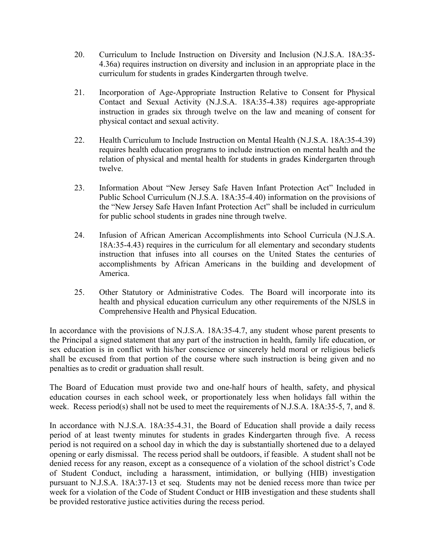- 20. Curriculum to Include Instruction on Diversity and Inclusion (N.J.S.A. 18A:35- 4.36a) requires instruction on diversity and inclusion in an appropriate place in the curriculum for students in grades Kindergarten through twelve.
- 21. Incorporation of Age-Appropriate Instruction Relative to Consent for Physical Contact and Sexual Activity (N.J.S.A. 18A:35-4.38) requires age-appropriate instruction in grades six through twelve on the law and meaning of consent for physical contact and sexual activity.
- 22. Health Curriculum to Include Instruction on Mental Health (N.J.S.A. 18A:35-4.39) requires health education programs to include instruction on mental health and the relation of physical and mental health for students in grades Kindergarten through twelve.
- 23. Information About "New Jersey Safe Haven Infant Protection Act" Included in Public School Curriculum (N.J.S.A. 18A:35-4.40) information on the provisions of the "New Jersey Safe Haven Infant Protection Act" shall be included in curriculum for public school students in grades nine through twelve.
- 24. Infusion of African American Accomplishments into School Curricula (N.J.S.A. 18A:35-4.43) requires in the curriculum for all elementary and secondary students instruction that infuses into all courses on the United States the centuries of accomplishments by African Americans in the building and development of America.
- 25. Other Statutory or Administrative Codes. The Board will incorporate into its health and physical education curriculum any other requirements of the NJSLS in Comprehensive Health and Physical Education.

In accordance with the provisions of N.J.S.A. 18A:35-4.7, any student whose parent presents to the Principal a signed statement that any part of the instruction in health, family life education, or sex education is in conflict with his/her conscience or sincerely held moral or religious beliefs shall be excused from that portion of the course where such instruction is being given and no penalties as to credit or graduation shall result.

The Board of Education must provide two and one-half hours of health, safety, and physical education courses in each school week, or proportionately less when holidays fall within the week. Recess period(s) shall not be used to meet the requirements of N.J.S.A. 18A:35-5, 7, and 8.

In accordance with N.J.S.A. 18A:35-4.31, the Board of Education shall provide a daily recess period of at least twenty minutes for students in grades Kindergarten through five. A recess period is not required on a school day in which the day is substantially shortened due to a delayed opening or early dismissal. The recess period shall be outdoors, if feasible. A student shall not be denied recess for any reason, except as a consequence of a violation of the school district's Code of Student Conduct, including a harassment, intimidation, or bullying (HIB) investigation pursuant to N.J.S.A. 18A:37-13 et seq. Students may not be denied recess more than twice per week for a violation of the Code of Student Conduct or HIB investigation and these students shall be provided restorative justice activities during the recess period.